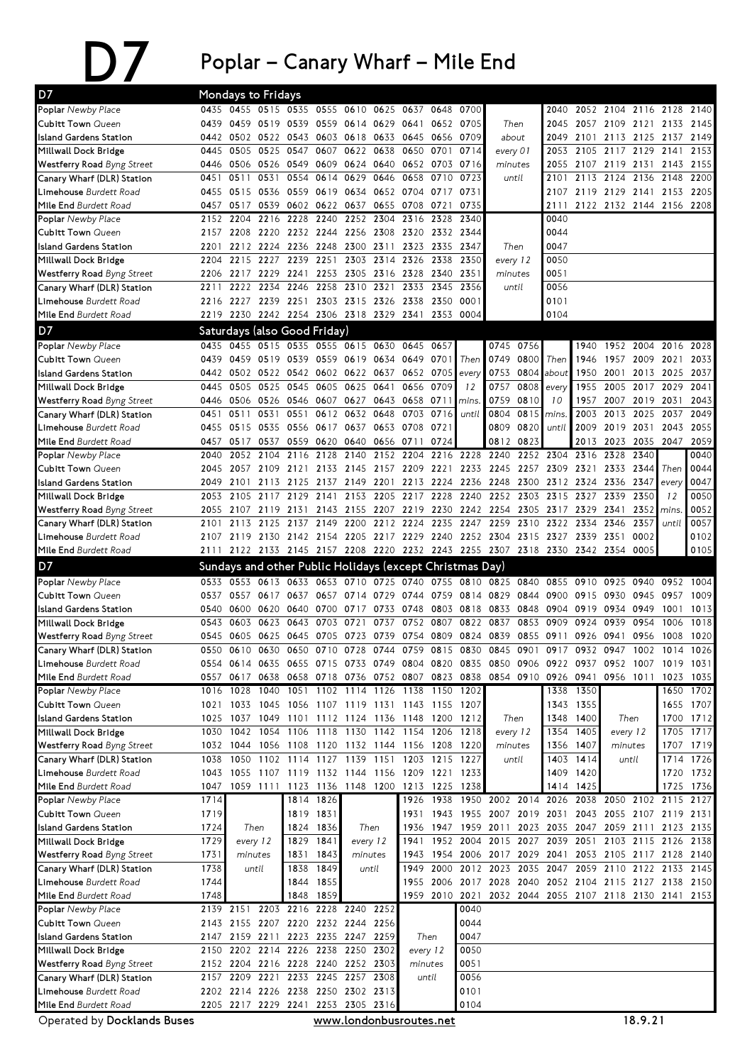## $\sum$  Poplar – Canary Wharf – Mile End

| D7                                                              | Mondays to Fridays |              |                        |                                         |           |                        |              |                                              |              |                                                          |                     |              |                                                                            |              |                          |                   |                     |                   |
|-----------------------------------------------------------------|--------------------|--------------|------------------------|-----------------------------------------|-----------|------------------------|--------------|----------------------------------------------|--------------|----------------------------------------------------------|---------------------|--------------|----------------------------------------------------------------------------|--------------|--------------------------|-------------------|---------------------|-------------------|
| Poplar Newby Place                                              |                    | 0435 0455    |                        | 0515 0535 0555                          |           | 0610                   | 0625         | 0637                                         | 0648         | 0700                                                     |                     |              | 2040                                                                       |              | 2052 2104 2116 2128      |                   |                     | 2140              |
| Cubitt Town Queen                                               | 0439               |              | 0459 0519 0539         |                                         |           | 0559 0614 0629         |              | 0641                                         | 0652         | 0705                                                     | Then                |              | 2045                                                                       |              | 2057 2109 2121 2133 2145 |                   |                     |                   |
| Island Gardens Station                                          | 0442               | 0502         | 0522                   | 0543                                    |           | 0603 0618 0633         |              | 0645                                         | 0656         | 0709                                                     | about               |              | 2049                                                                       | 2101         | 2113 2125                |                   | 2137                | 2149              |
| Millwall Dock Bridge                                            | 0445               | 0505         | 0525                   | 0547                                    | 0607      | 0622                   | 0638         | 0650                                         | 0701         | 0714                                                     | every 01            |              | 2053                                                                       | 2105         | 2117                     | 2129              | 2141                | 2153              |
| <b>Westferry Road Byng Street</b>                               | 0446               |              | 0506 0526 0549         |                                         |           | 0609 0624 0640         |              | 0652 0703                                    |              | 0716                                                     | minutes             |              | 2055                                                                       | 2107         | 2119 2131                |                   | 2143                | 2155              |
| Canary Wharf (DLR) Station                                      | 0451               | 0511         | 0531                   | 0554                                    | 0614      | 0629                   | 0646         | 0658                                         | 0710         | 0723                                                     |                     | until        | 2101                                                                       |              | 2113 2124 2136           |                   | 2148                | 2200              |
| Limehouse Burdett Road                                          | 0455               | 0515         | 0536                   | 0559                                    | 0619      |                        |              | 0634 0652 0704 0717                          |              | 0731                                                     |                     |              | 2107                                                                       |              | 2119 2129 2141           |                   | 2153 2205           |                   |
| Mile End Burdett Road                                           | 0457               | 0517         | 0539 0602              |                                         |           | 0622 0637              | 0655         | 0708                                         | 0721         | 0735                                                     |                     |              | 2111                                                                       |              | 2122 2132 2144 2156 2208 |                   |                     |                   |
| Poplar Newby Place                                              | 2152               | 2204         | 2216                   | 2228                                    | 2240      | 2252                   | 2304         | 2316                                         | 2328         | 2340                                                     |                     |              | 0040                                                                       |              |                          |                   |                     |                   |
| <b>Cubitt Town Queen</b>                                        | 2157               | 2208         | 2220                   | 2232                                    | 2244      | 2256                   | 2308         | 2320                                         | 2332         | 2344<br>2347                                             |                     |              | 0044<br>0047                                                               |              |                          |                   |                     |                   |
| <b>Island Gardens Station</b>                                   | 2201<br>2204       | 2215         | 2212 2224 2236<br>2227 | 2239                                    | 2251      | 2248 2300 2311         | 2303 2314    | 2326 2338                                    | 2323 2335    | 2350                                                     | Then                |              | 0050                                                                       |              |                          |                   |                     |                   |
| Millwall Dock Bridge                                            |                    | 2217         | 2229                   | 2241                                    |           | 2253 2305 2316         |              | 2328                                         | 2340         | 2351                                                     | every 12            |              | 0051                                                                       |              |                          |                   |                     |                   |
| <b>Westferry Road</b> Byng Street<br>Canary Wharf (DLR) Station | 2206<br>2211       | 2222         | 2234                   | 2246                                    | 2258      | 2310                   | 2321         | 2333                                         | 2345         | 2356                                                     | minutes<br>until    |              | 0056                                                                       |              |                          |                   |                     |                   |
| Limehouse Burdett Road                                          | 2216               | 2227         | 2239 2251              |                                         |           | 2303 2315 2326         |              | 2338 2350                                    |              | 0001                                                     |                     |              | 0101                                                                       |              |                          |                   |                     |                   |
| Mile End Burdett Road                                           | 2219               | 2230         |                        | 2242 2254 2306 2318 2329                |           |                        |              | 2341 2353                                    |              | 0004                                                     |                     |              | 0104                                                                       |              |                          |                   |                     |                   |
|                                                                 |                    |              |                        |                                         |           |                        |              |                                              |              |                                                          |                     |              |                                                                            |              |                          |                   |                     |                   |
| D7                                                              |                    |              |                        | Saturdays (also Good Friday)            |           |                        |              |                                              |              |                                                          |                     |              |                                                                            |              |                          |                   |                     |                   |
| Poplar Newby Place                                              | 0435               | 0455         | 0515                   | 0535                                    |           | 0555 0615 0630         |              | 0645                                         | 0657         |                                                          |                     | 0745 0756    |                                                                            | 1940         |                          | 1952 2004         | 2016                | 2028              |
| <b>Cubitt Town Queen</b>                                        | 0439               | 0459         | 0519 0539              |                                         |           | 0559 0619 0634         |              | 0649                                         | 0701         | Then                                                     | 0749                | 0800         | Then                                                                       | 1946         |                          | 1957 2009         | 2021                | 2033              |
| Island Gardens Station                                          | 0442               |              |                        | 0502 0522 0542 0602 0622 0637           |           |                        |              | 0652 0705                                    |              | every                                                    | 0753                | 0804         | about                                                                      | 1950         | 2001                     | 2013              | 2025                | 2037              |
| Millwall Dock Bridge                                            | 0445               | 0505         | 0525                   | 0545                                    | 0605      | 0625                   | 0641         | 0656                                         | 0709         | 12                                                       | 0757                | 0808         | every                                                                      | 1955         |                          | 2005 2017 2029    |                     | 2041              |
| <b>Westferry Road Byng Street</b>                               | 0446               | 0506         | 0526 0546<br>0531      | 0551                                    | 0612      | 0607 0627              | 0643<br>0648 | 0658<br>0703                                 | 0711<br>0716 | mins.                                                    | 0759                | 0810<br>0815 | 10                                                                         | 1957<br>2003 | 2013                     | 2007 2019<br>2025 | 2031<br>2037        | 2043<br>2049      |
| Canary Wharf (DLR) Station<br>Limehouse Burdett Road            | 0451<br>0455       | 0511<br>0515 | 0535 0556              |                                         |           | 0632<br>0617 0637 0653 |              | 0708                                         | 0721         | until                                                    | 0804<br>0809        | 0820         | mins.<br>until                                                             | 2009         | 2019 2031                |                   | 2043                | 2055              |
| Mile End Burdett Road                                           | 0457               | 0517         | 0537                   | 0559                                    | 0620      | 0640 0656              |              | 0711                                         | 0724         |                                                          | 0812                | 0823         |                                                                            | 2013         | 2023                     | 2035              | 2047                | 2059              |
| <b>Poplar</b> Newby Place                                       | 2040               | 2052         | 2104                   | 2116                                    | 2128      | 2140                   | 2152         | 2204                                         | 2216         | 2228                                                     | 2240                | 2252         | 2304                                                                       | 2316         | 2328 2340                |                   |                     | 0040              |
| Cubitt Town Queen                                               | 2045               | 2057         |                        | 2109 2121                               | 2133      | 2145                   | 2157         | 2209                                         | 2221         | 2233                                                     | 2245                | 2257         | 2309                                                                       | 2321         | 2333                     | 2344              | Then                | 0044              |
| Island Gardens Station                                          | 2049               | 2101         | 2113                   | 2125                                    | 2137      | 2149                   | 2201         | 2213                                         | 2224         | 2236                                                     | 2248                | 2300         | 2312                                                                       | 2324         | 2336                     | 2347              | every               | 0047              |
| Millwall Dock Bridge                                            | 2053               | 2105         | 2117                   | 2129                                    | 2141      | 2153                   | 2205         | 2217                                         | 2228         | 2240                                                     | 2252                | 2303         | 2315                                                                       | 2327         | 2339                     | 2350              | 12                  | 0050              |
| <b>Westferry Road Byng Street</b>                               | 2055               | 2107         | 2119                   | 2131                                    |           | 2143 2155 2207         |              |                                              |              | 2219 2230 2242 2254                                      |                     |              | 2305 2317                                                                  | 2329         | 2341                     | 2352              | mins                | 0052              |
| Canary Wharf (DLR) Station                                      | 2101               | 2113         |                        | 2125 2137 2149 2200                     |           |                        |              | 2212 2224                                    |              | 2235 2247 2259                                           |                     | 2310         | 2322                                                                       | 2334         | 2346                     | 2357              | until               | 0057              |
| Limehouse Burdett Road                                          | 2107               | 2119         | 2130 2142              |                                         | 2154      |                        |              |                                              |              | 2205 2217 2229 2240 2252 2304                            |                     |              | 2315 2327                                                                  |              | 2339 2351                | 0002              |                     | 0102              |
| Mile End Burdett Road                                           | 2111               |              |                        |                                         |           |                        |              |                                              |              |                                                          |                     |              | 2122 2133 2145 2157 2208 2220 2232 2243 2255 2307 2318 2330 2342 2354 0005 |              |                          |                   |                     | 0105              |
| D7                                                              |                    |              |                        |                                         |           |                        |              |                                              |              | Sundays and other Public Holidays (except Christmas Day) |                     |              |                                                                            |              |                          |                   |                     |                   |
|                                                                 |                    |              |                        |                                         |           |                        |              |                                              |              |                                                          |                     |              |                                                                            |              |                          |                   |                     |                   |
|                                                                 |                    |              |                        |                                         |           |                        |              |                                              |              |                                                          |                     |              |                                                                            |              |                          |                   |                     |                   |
| Poplar Newby Place                                              |                    |              |                        | 0533 0553 0613 0633 0653 0710 0725 0740 |           |                        |              |                                              |              | 0755 0810 0825                                           |                     |              | 0840 0855                                                                  | 0910         | 0925 0940                |                   | 0952                | 1004              |
| <b>Cubitt Town Queen</b>                                        | 0537               | 0557         | 0617 0637              |                                         |           | 0657 0714 0729         |              | 0744 0759 0814                               |              |                                                          | 0829                | 0844         | 0900                                                                       | 0915         | 0930 0945                |                   | 0957                | 1009              |
| Island Gardens Station                                          | 0540               | 0600         | 0620                   | 0640                                    | 0700      | 0717                   | 0733         | 0748                                         | 0803         | 0818                                                     | 0833                | 0848         | 0904                                                                       | 0919         |                          | 0934 0949         | 1001                | 1013              |
| Millwall Dock Bridge                                            | 0543               | 0603         | 0623                   | 0643                                    | 0703      | 0721                   | 0737         | 0752                                         | 0807         | 0822                                                     | 0837                | 0853         | 0909                                                                       | 0924         | 0939                     | 0954              | 1006                | 1018              |
| <b>Westferry Road</b> Byng Street                               | 0545               | 0605         | 0625                   | 0645                                    | 0705      | 0723                   | 0739         | 0754                                         | 0809         | 0824                                                     | 0839                | 0855         | 0911                                                                       | 0926         | 0941<br>0947             | 0956              | 1008                | 1020              |
| Canary Wharf (DLR) Station                                      | 0550               | 0610         | 0630                   |                                         |           | 0650 0710 0728 0744    |              | 0759 0815 0830                               |              |                                                          | 0845                | 0901         | 0917                                                                       | 0932         |                          | 1002              | 1014                | 1026              |
| Limehouse Burdett Road                                          | 0557               | 0617         | 0638                   | 0658                                    |           |                        |              | 0718 0736 0752 0807 0823 0838                |              |                                                          |                     |              | 0554 0614 0635 0655 0715 0733 0749 0804 0820 0835 0850 0906 0922 0937      |              | 0952 1007                |                   | 1019 1031           |                   |
| Mile End Burdett Road<br>Poplar Newby Place                     | 1016               | 1028         | 1040                   | 1051                                    |           | 1102 1114 1126         |              | 1138 1150                                    |              | 1202                                                     |                     | 0854 0910    | 0926 0941<br>1338                                                          | 1350         | 0956 1011                |                   | 1023                | 1035<br>1650 1702 |
| Cubitt Town Queen                                               | 1021               |              |                        |                                         |           |                        |              | 1033 1045 1056 1107 1119 1131 1143 1155 1207 |              |                                                          |                     |              |                                                                            | 1343 1355    |                          |                   |                     | 1655 1707         |
| Island Gardens Station                                          | 1025               | 1037         |                        |                                         |           |                        |              | 1049 1101 1112 1124 1136 1148 1200 1212      |              |                                                          | Then                |              | 1348                                                                       | 1400         | Then                     |                   |                     | 1700 1712         |
| Millwall Dock Bridge                                            | 1030               | 1042         | 1054                   | 1106                                    |           |                        |              | 1118 1130 1142 1154 1206                     |              | 1218                                                     | every 12            |              | 1354                                                                       | 1405         | every 12                 |                   |                     | 1705 1717         |
| <b>Westferry Road</b> Byng Street                               | 1032               | 1044         |                        | 1056 1108                               | 1120      | 1132 1144              |              |                                              | 1156 1208    | 1220                                                     | minutes             |              | 1356                                                                       | 1407         | minutes                  |                   |                     | 1707 1719         |
| Canary Wharf (DLR) Station                                      | 1038               | 1050         |                        | 1102 1114                               | 1127      | 1139 1151              |              |                                              | 1203 1215    | 1227                                                     |                     | until        | 1403                                                                       | 1414         |                          | until             |                     | 1714 1726         |
| Limehouse Burdett Road                                          | 1043               | 1055         |                        | 1107 1119 1132 1144 1156                |           |                        |              | 1209 1221 1233                               |              |                                                          |                     |              | 1409                                                                       | 1420         |                          |                   |                     | 1720 1732         |
| Mile End Burdett Road                                           | 1047               |              |                        |                                         |           |                        |              | 1059 1111 1123 1136 1148 1200 1213 1225      |              | 1238                                                     |                     |              | 1414                                                                       | 1425         |                          |                   | 1725                | 1736              |
| Poplar Newby Place                                              | $\overline{17}$ 14 |              |                        | 1814                                    | 1826      |                        |              |                                              | 1926 1938    |                                                          | 1950 2002 2014 2026 |              |                                                                            | 2038         | 2050 2102 2115           |                   |                     | 2127              |
| Cubitt Town Queen                                               | 1719               |              |                        | 1819                                    | 1831      |                        |              |                                              | 1931 1943    |                                                          | 1955 2007 2019 2031 |              |                                                                            | 2043         |                          |                   | 2055 2107 2119 2131 |                   |
| Island Gardens Station                                          | 1724               |              | Then                   | 1824                                    | 1836      |                        | Then         | 1936                                         | 1947         |                                                          | 1959 2011           |              | 2023 2035                                                                  | 2047         |                          | 2059 2111         |                     | 2123 2135         |
| Millwall Dock Bridge                                            | 1729               | every 12     |                        | 1829                                    | 1841      | every 12               |              | 1941                                         | 1952         | 2004                                                     |                     |              | 2015 2027 2039 2051                                                        |              |                          |                   | 2103 2115 2126 2138 |                   |
| <b>Westferry Road Byng Street</b>                               | 1731               |              | minutes                | 1831                                    | 1843      | minutes                |              |                                              | 1943 1954    |                                                          | 2006 2017           |              | 2029 2041                                                                  |              | 2053 2105 2117 2128      |                   |                     | 2140              |
| Canary Wharf (DLR) Station                                      | 1738               |              | until                  | 1838                                    | 1849      |                        | until        | 1949                                         | 2000         |                                                          | 2012 2023           |              | 2035 2047 2059                                                             |              |                          | 2110 2122 2133    |                     | 2145              |
| L <b>imehouse</b> Burdett Road                                  | 1744               |              |                        | 1844                                    | 1855      |                        |              |                                              |              |                                                          |                     |              | 1955 2006 2017 2028 2040 2052 2104 2115 2127 2138 2150                     |              |                          |                   |                     |                   |
| Mile End Burdett Road                                           | 1748               |              |                        | 1848                                    | 1859      |                        |              |                                              |              |                                                          |                     |              | 1959 2010 2021 2032 2044 2055 2107 2118 2130 2141 2153                     |              |                          |                   |                     |                   |
| Poplar Newby Place                                              |                    | 2139 2151    |                        | 2203 2216 2228 2240 2252                |           |                        |              |                                              |              | 0040                                                     |                     |              |                                                                            |              |                          |                   |                     |                   |
| Cubitt Town Queen                                               | 2143               |              |                        | 2155 2207 2220 2232 2244 2256           |           |                        |              |                                              |              | 0044                                                     |                     |              |                                                                            |              |                          |                   |                     |                   |
| Island Gardens Station                                          | 2147               |              |                        | 2159 2211 2223 2235 2247 2259           |           |                        |              | Then                                         |              | 0047                                                     |                     |              |                                                                            |              |                          |                   |                     |                   |
| Millwall Dock Bridge                                            | 2150               |              | 2202 2214 2226         |                                         | 2238 2250 |                        | 2302         | every 12                                     |              | 0050                                                     |                     |              |                                                                            |              |                          |                   |                     |                   |
| Westferry Road Byng Street                                      |                    |              |                        | 2152 2204 2216 2228 2240 2252 2303      |           |                        |              | minutes                                      |              | 0051                                                     |                     |              |                                                                            |              |                          |                   |                     |                   |
| Canary Wharf (DLR) Station                                      | 2157               | 2209         | 2221 2233              |                                         |           | 2245 2257 2308         |              |                                              | until        | 0056                                                     |                     |              |                                                                            |              |                          |                   |                     |                   |
| Limehouse Burdett Road                                          | 2202               |              | 2214 2226 2238         |                                         |           | 2250 2302 2313         |              |                                              |              | 0101                                                     |                     |              |                                                                            |              |                          |                   |                     |                   |
| Mile End Burdett Road<br>Operated by Docklands Buses            |                    |              |                        | 2205 2217 2229 2241 2253 2305 2316      |           |                        |              | www.londonbusroutes.net                      |              | 0104                                                     |                     |              |                                                                            |              |                          | 18.9.21           |                     |                   |